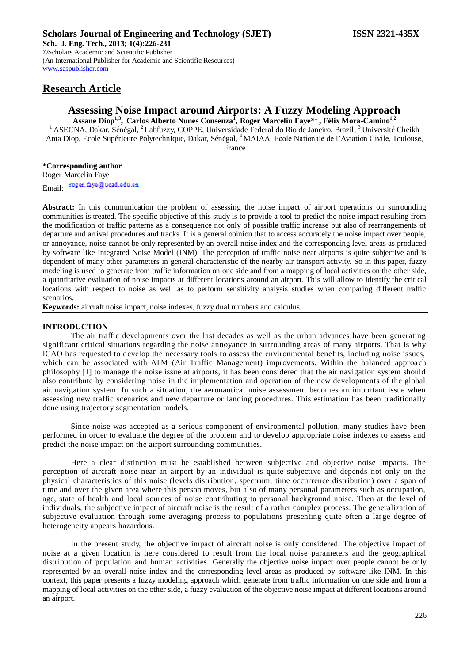# **Research Article**

# **Assessing Noise Impact around Airports: A Fuzzy Modeling Approach**

**Assane Diop1,3 , Carlos Alberto Nunes Consenza<sup>1</sup> , Roger Marcelin Faye\*<sup>1</sup> , Félix Mora-Camino1,2** <sup>1</sup> ASECNA, Dakar, Sénégal, <sup>2</sup> Labfuzzy, COPPE, Universidade Federal do Rio de Janeiro, Brazil, <sup>3</sup> Université Cheikh Anta Diop, Ecole Supérieure Polytechnique, Dakar, Sénégal, <sup>4</sup>MAIAA, Ecole Nationale de l'Aviation Civile, Toulouse,

France

## **\*Corresponding author**

Roger Marcelin Faye Email: roger.faye@ucad.edu.sn

**Abstract:** In this communication the problem of assessing the noise impact of airport operations on surrounding communities is treated. The specific objective of this study is to provide a tool to predict the noise impact resulting from the modification of traffic patterns as a consequence not only of possible traffic increase but also of rearrangements of departure and arrival procedures and tracks. It is a general opinion that to access accurately the noise impact over people, or annoyance, noise cannot be only represented by an overall noise index and the corresponding level areas as produced by software like Integrated Noise Model (INM). The perception of traffic noise near airports is quite subjective and is dependent of many other parameters in general characteristic of the nearby air transport activity. So in this paper, fuzzy modeling is used to generate from traffic information on one side and from a mapping of local activities on the other side, a quantitative evaluation of noise impacts at different locations around an airport. This will allow to identify the critical locations with respect to noise as well as to perform sensitivity analysis studies when comparing different traffic scenarios.

**Keywords:** aircraft noise impact, noise indexes, fuzzy dual numbers and calculus.

## **INTRODUCTION**

The air traffic developments over the last decades as well as the urban advances have been generating significant critical situations regarding the noise annoyance in surrounding areas of many airports. That is why ICAO has requested to develop the necessary tools to assess the environmental benefits, including noise issues, which can be associated with ATM (Air Traffic Management) improvements. Within the balanced approach philosophy [1] to manage the noise issue at airports, it has been considered that the air navigation system should also contribute by considering noise in the implementation and operation of the new developments of the global air navigation system. In such a situation, the aeronautical noise assessment becomes an important issue when assessing new traffic scenarios and new departure or landing procedures. This estimation has been traditionally done using trajectory segmentation models.

Since noise was accepted as a serious component of environmental pollution, many studies have been performed in order to evaluate the degree of the problem and to develop appropriate noise indexes to assess and predict the noise impact on the airport surrounding communities.

Here a clear distinction must be established between subjective and objective noise impacts. The perception of aircraft noise near an airport by an individual is quite subjective and depends not only on the physical characteristics of this noise (levels distribution, spectrum, time occurrence distribution) over a span of time and over the given area where this person moves, but also of many personal parameters such as occupation, age, state of health and local sources of noise contributing to personal background noise. Then at the level of individuals, the subjective impact of aircraft noise is the result of a rather complex process. The generalization of subjective evaluation through some averaging process to populations presenting quite often a large degree of heterogeneity appears hazardous.

In the present study, the objective impact of aircraft noise is only considered. The objective impact of noise at a given location is here considered to result from the local noise parameters and the geographical distribution of population and human activities. Generally the objective noise impact over people cannot be only represented by an overall noise index and the corresponding level areas as produced by software like INM. In this context, this paper presents a fuzzy modeling approach which generate from traffic information on one side and from a mapping of local activities on the other side, a fuzzy evaluation of the objective noise impact at different locations around an airport.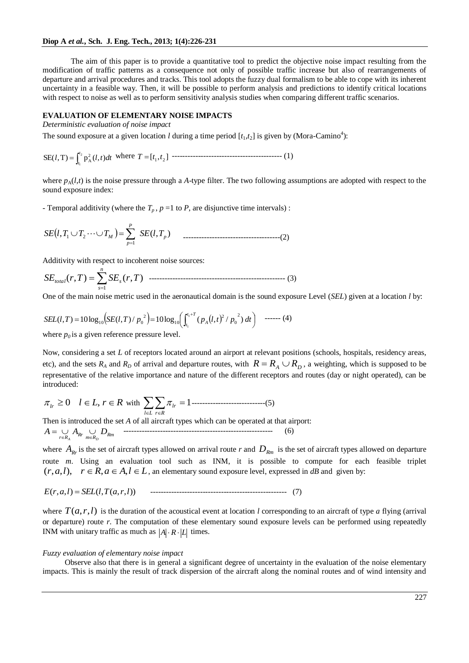The aim of this paper is to provide a quantitative tool to predict the objective noise impact resulting from the modification of traffic patterns as a consequence not only of possible traffic increase but also of rearrangements of departure and arrival procedures and tracks. This tool adopts the fuzzy dual formalism to be able to cope with its inherent uncertainty in a feasible way. Then, it will be possible to perform analysis and predictions to identify critical locations with respect to noise as well as to perform sensitivity analysis studies when comparing different traffic scenarios.

# **EVALUATION OF ELEMENTARY NOISE IMPACTS**

*Deterministic evaluation of noise impact*

The sound exposure at a given location *l* during a time period  $[t_1,t_2]$  is given by (Mora-Camino<sup>4</sup>):

SE(*l*, T) = 
$$
\int_{t_1}^{t_2} p_A^2(l, t)dt
$$
 where  $T = [t_1, t_2]$   $\cdots$   $\cdots$   $\cdots$   $\cdots$   $\cdots$   $\cdots$   $\cdots$   $\cdots$   $\cdots$   $\cdots$   $\cdots$   $\cdots$   $\cdots$   $\cdots$   $\cdots$   $\cdots$   $\cdots$   $\cdots$   $\cdots$   $\cdots$   $\cdots$   $\cdots$   $\cdots$   $\cdots$   $\cdots$   $\cdots$   $\cdots$   $\cdots$   $\cdots$   $\cdots$   $\cdots$   $\cdots$   $\cdots$   $\cdots$   $\cdots$   $\cdots$   $\cdots$   $\cdots$   $\cdots$   $\cdots$   $\cdots$   $\cdots$   $\cdots$   $\cdots$   $\cdots$   $\cdots$   $\cdots$   $\cdots$   $\cdots$   $\cdots$   $\cdots$   $\cdots$   $\cdots$   $\cdots$   $\cdots$   $\cdots$   $\cdots$   $\cdots$   $\cdots$   $\cdots$   $\cdots$   $\cdots$   $\cdots$   $\cdots$   $\cdots$   $\cdots$   $\cdots$   $\cdots$   $\cdots$   $\cdots$   $\cdots$   $\cdots$   $\cdots$   $\cdots$   $\cdots$   $\cdots$   $\cdots$   $\cdots$   $\cdots$ 

where  $p_A(l,t)$  is the noise pressure through a *A*-type filter. The two following assumptions are adopted with respect to the sound exposure index:

- Temporal additivity (where the  $T_p$ ,  $p = 1$  to  $P$ , are disjunctive time intervals):

 , ( , ) 1 1 2 *p P p SE <sup>l</sup> <sup>T</sup> <sup>T</sup> <sup>T</sup><sup>M</sup> SE <sup>l</sup> <sup>T</sup>* -------------------------------------(2)

Additivity with respect to incoherent noise sources:

 *n s SEtotal r T SE<sup>s</sup> r T* 1 ( , ) ( , ) ---------------------------------------------------- (3)

One of the main noise metric used in the aeronautical domain is the sound exposure Level (*SEL*) given at a location *l* by:

$$
SEL(l,T) = 10 \log_{10} \left( SE(l,T) / p_0^2 \right) = 10 \log_{10} \left( \int_{t_1}^{t_1 + T} (p_A(l,t)^2 / p_0^2) dt \right) \quad \text{---} \tag{4}
$$

where  $p_0$  is a given reference pressure level.

Now, considering a set *L* of receptors located around an airport at relevant positions (schools, hospitals, residency areas, etc), and the sets  $R_A$  and  $R_D$  of arrival and departure routes, with  $R = R_A \cup R_D$ , a weighting, which is supposed to be representative of the relative importance and nature of the different receptors and routes (day or night operated), can be introduced:

$$
\pi_{lr} \ge 0
$$
  $l \in L$ ,  $r \in R$  with  $\sum_{l \in L} \sum_{r \in R} \pi_{lr} = 1$ .................(5)

Then is introduced the set *A* of all aircraft types which can be operated at that airport: *Rm m R Rr r R A A D <sup>A</sup> <sup>D</sup>* --------------------------------------------------------- (6)

where  $A_{Rr}$  is the set of aircraft types allowed on arrival route *r* and  $D_{Rm}$  is the set of aircraft types allowed on departure route *m*. Using an evaluation tool such as INM, it is possible to compute for each feasible triplet  $(r, a, l)$ ,  $r \in R$ ,  $a \in A$ ,  $l \in L$ , an elementary sound exposure level, expressed in *dB* and given by:

$$
E(r, a, l) = SEL(l, T(a, r, l)) \qquad \dots \dots \dots \dots \dots \dots \dots \dots \dots \dots \dots \dots \dots \dots \dots \dots \dots \tag{7}
$$

where  $T(a,r,l)$  is the duration of the acoustical event at location *l* corresponding to an aircraft of type *a* flying (arrival or departure) route *r*. The computation of these elementary sound exposure levels can be performed using repeatedly INM with unitary traffic as much as  $|A| \cdot R \cdot |L|$  times.

### *Fuzzy evaluation of elementary noise impact*

Observe also that there is in general a significant degree of uncertainty in the evaluation of the noise elementary impacts. This is mainly the result of track dispersion of the aircraft along the nominal routes and of wind intensity and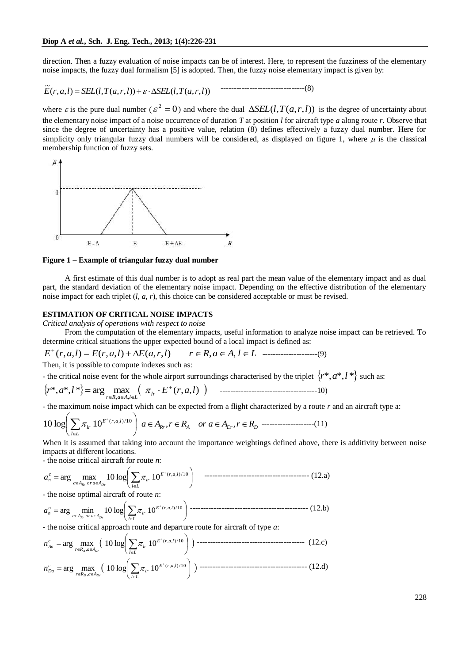direction. Then a fuzzy evaluation of noise impacts can be of interest. Here, to represent the fuzziness of the elementary noise impacts, the fuzzy dual formalism [5] is adopted. Then, the fuzzy noise elementary impact is given by:

$$
\widetilde{E}(r, a, l) = SEL(l, T(a, r, l)) + \varepsilon \cdot \Delta SEL(l, T(a, r, l))
$$

where  $\varepsilon$  is the pure dual number ( $\varepsilon^2 = 0$ ) and where the dual  $\Delta SEL(l, T(a, r, l))$  is the degree of uncertainty about the elementary noise impact of a noise occurrence of duration *T* at position *l* for aircraft type *a* along route *r*. Observe that since the degree of uncertainty has a positive value, relation (8) defines effectively a fuzzy dual number. Here for simplicity only triangular fuzzy dual numbers will be considered, as displayed on figure 1, where  $\mu$  is the classical membership function of fuzzy sets.



**Figure 1 – Example of triangular fuzzy dual number**

A first estimate of this dual number is to adopt as real part the mean value of the elementary impact and as dual part, the standard deviation of the elementary noise impact. Depending on the effective distribution of the elementary noise impact for each triplet (*l, a, r*), this choice can be considered acceptable or must be revised.

# **ESTIMATION OF CRITICAL NOISE IMPACTS**

*Critical analysis of operations with respect to noise*

From the computation of the elementary impacts, useful information to analyze noise impact can be retrieved. To determine critical situations the upper expected bound of a local impact is defined as:

$$
E^{+}(r, a, l) = E(r, a, l) + \Delta E(a, r, l) \qquad r \in R, a \in A, l \in L \quad \dots \tag{9}
$$

Then, it is possible to compute indexes such as:

- the critical noise event for the whole airport surroundings characterised by the triplet  $\{r^*, a^*, l^*\}$  such as:

 \*, \*, \* arg max ( , , ) , , *r a l E r a l lr r R a A l L* -------------------------------------10)

- the maximum noise impact which can be expected from a flight characterized by a route *r* and an aircraft type a:

$$
10\log\left(\sum_{l\in L}\pi_{lr}10^{E^+(r,a,l)/10}\right)\ a\in A_{R_r}, r\in R_A \quad or \ a\in A_{Dr}, r\in R_D
$$
-----(11)

When it is assumed that taking into account the importance weightings defined above, there is additivity between noise impacts at different locations.

- the noise critical aircraft for route *n*:

 *l L E r a l lr <sup>a</sup> <sup>A</sup> o r <sup>a</sup> <sup>A</sup> c n Rr D r a* ( , , )/1 0 arg max <sup>10</sup> log <sup>10</sup> ---------------------------------------- (12.a)

- the noise optimal aircraft of route *n*:

 *l L E r a l lr <sup>a</sup> <sup>A</sup> o r <sup>a</sup> <sup>A</sup> o n Rr D r a* ( , , )/1 0 arg min <sup>10</sup> log <sup>10</sup> --------------------------------------------- (12.b)

- the noise critical approach route and departure route for aircraft of type *a*:

 *l L E r a l lr r R a A c Aa A Rr n* ( , , )/1 0 , arg max 10 log 10 ----------------------------------------- (12.c) *l L E r a l lr r R a A c Da <sup>D</sup> D r n* ( , , )/1 0 , arg max 10 log 10 ----------------------------------------- (12.d)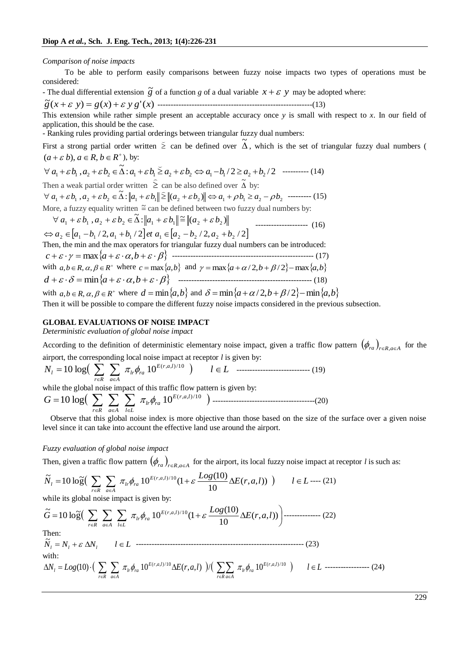#### *Comparison of noise impacts*

To be able to perform easily comparisons between fuzzy noise impacts two types of operations must be considered:

- The dual differential extension  $\tilde{g}$  of a function *g* of a dual variable  $x + \varepsilon y$  may be adopted where:

( ) ( ) '( ) ~ *g x y g x y g x* -----------------------------------------------------------(13)

This extension while rather simple present an acceptable accuracy once *y* is small with respect to *x*. In our field of application, this should be the case.

- Ranking rules providing partial orderings between triangular fuzzy dual numbers:

First a strong partial order written  $\geq$  can be defined over  $\tilde{\Delta}$ , which is the set of triangular fuzzy dual numbers (  $(a + \varepsilon b)$ ,  $a \in R$ ,  $b \in R^+$ , by:

 $\forall a_1 + \varepsilon b_1, a_2 + \varepsilon b_2 \in \tilde{\Delta} : a_1 + \varepsilon b_1 \ge a_2 + \varepsilon b_2 \Leftrightarrow a_1 - b_1/2 \ge a_2 + b_2/2$  ---------- (14) Then a weak partial order written  $\geq$  $\frac{1}{\sqrt{2}}$ can be also defined over  $\tilde{\Delta}$  by:

 $\forall a_1 + \varepsilon b_1, a_2 + \varepsilon b_2 \in \tilde{\Delta}: ||a_1 + \varepsilon b_1|| \ge ||(a_2 + \varepsilon b_2)|| \Leftrightarrow a_1 + \rho b_1 \ge a_2 - \rho b_2$  --------- (15)

More, a fuzzy equality written  $\cong$  can be defined between two fuzzy dual numbers by:

$$
\forall a_1 + \varepsilon b_1, a_2 + \varepsilon b_2 \in \tilde{\Delta} : \|a_1 + \varepsilon b_1\| \approx \|(a_2 + \varepsilon b_2)\|
$$
  

$$
\Leftrightarrow a_2 \in [a_1 - b_1 / 2, a_1 + b_1 / 2] \text{ et } a_1 \in [a_2 - b_2 / 2, a_2 + b_2 / 2]
$$
 (16)

Then, the min and the max operators for triangular fuzzy dual numbers can be introduced: *c* max*a* ,*b* ------------------------------------------------------ (17) with  $a, b \in R$ ,  $\alpha, \beta \in R^+$  where  $c = \max\{a, b\}$  and  $\gamma = \max\{a + \alpha/2, b + \beta/2\} - \max\{a, b\}$ *d* min*a* ,*b* --------------------------------------------------- (18)

with  $a, b \in R$ ,  $\alpha, \beta \in R^+$  where  $d = \min\{a, b\}$  and  $\delta = \min\{a + \alpha/2, b + \beta/2\} - \min\{a, b\}$ 

Then it will be possible to compare the different fuzzy noise impacts considered in the previous subsection.

### **GLOBAL EVALUATIONS OF NOISE IMPACT**

*Deterministic evaluation of global noise impact*

According to the definition of deterministic elementary noise impact, given a traffic flow pattern  $(\phi_{ra})_{r \in R, a \in A}$  for the

\n airport, the corresponding local noise impact at receptor *l* is given by:\n 
$$
N_l = 10 \log \left( \sum_{r \in R} \sum_{a \in A} \pi_{lr} \phi_{ra} 10^{E(r, a, l)/10} \right) \quad l \in L
$$
\n

\n\n 10.133\n

while the global noise impact of this traffic flow pattern is given by: ( , , )/1 0 <sup>10</sup> log <sup>10</sup>*<sup>E</sup> <sup>r</sup> <sup>a</sup> <sup>l</sup> lr ra r R a A l L <sup>G</sup>* ---------------------------------------(20)

Observe that this global noise index is more objective than those based on the size of the surface over a given noise level since it can take into account the effective land use around the airport.

### *Fuzzy evaluation of global noise impact*

Then, given a traffic flow pattern 
$$
(\phi_{ra})_{reR, a \in A}
$$
 for the airport, its local fuzzy noise impact at receptor *l* is such as:  
\n
$$
\widetilde{N}_l = 10 \log \left( \sum_{r \in R} \sum_{a \in A} \pi_{lr} \phi_{ra} 10^{E(r, a, l)/10} (1 + \varepsilon \frac{Log(10)}{10} \Delta E(r, a, l)) \right) \qquad l \in L
$$
---(21)

while its global noise impact is given by:  
\n
$$
\tilde{G} = 10 \log \Big( \sum_{r \in R} \sum_{a \in A} \sum_{l \in L} \pi_{lr} \phi_{ra} 10^{E(r,a,l)/10} (1 + \varepsilon \frac{Log(10)}{10} \Delta E(r,a,l)) \Big) \text{............ (22)}
$$
\nThen:  
\n
$$
\tilde{N}_l = N_l + \varepsilon \Delta N_l \qquad l \in L \text{............}
$$
\nwith:  
\n
$$
\Delta N_l = Log(10) \cdot \Big( \sum_{r \in R} \sum_{a \in A} \pi_{lr} \phi_{ra} 10^{E(r,a,l)/10} \Delta E(r,a,l) \Big) / \Big( \sum_{r \in R} \sum_{a \in A} \pi_{lr} \phi_{ra} 10^{E(r,a,l)/10} \Big) \qquad l \in L \text{............ (24)}
$$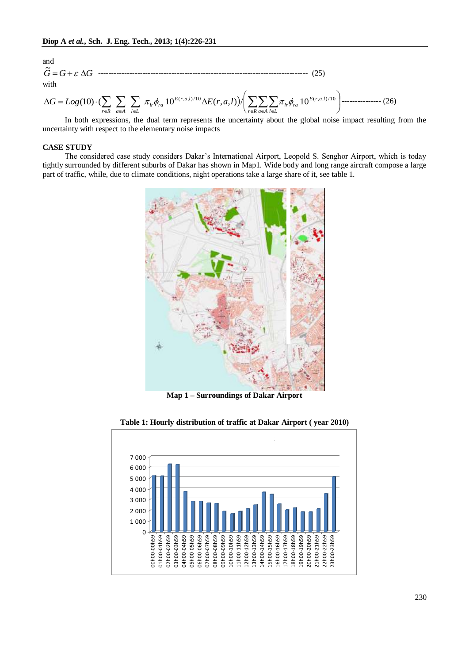and  
\n
$$
\tilde{G} = G + \varepsilon \Delta G \quad \text{........}
$$
\nwith  
\n
$$
\Delta G = Log(10) \cdot (\sum_{r \in R} \sum_{a \in A} \sum_{l \in L} \pi_{lr} \phi_{ra} 10^{E(r, a, l)/10} \Delta E(r, a, l)) / \left( \sum_{r \in R} \sum_{a \in A} \sum_{l \in L} \pi_{lr} \phi_{ra} 10^{E(r, a, l)/10} \right) \text{........}
$$
\n(26)

J  $\setminus$  $r \in R$  *a* $\in A$  *l*  $\in L$   $\setminus r \in R$  *a* $\in A$  *l*  $\in L$ In both expressions, the dual term represents the uncertainty about the global noise impact resulting from the uncertainty with respect to the elementary noise impacts

## **CASE STUDY**

The considered case study considers Dakar's International Airport, Leopold S. Senghor Airport, which is today tightly surrounded by different suburbs of Dakar has shown in Map1. Wide body and long range aircraft compose a large part of traffic, while, due to climate conditions, night operations take a large share of it, see table 1.



**Map 1 – Surroundings of Dakar Airport**



**Table 1: Hourly distribution of traffic at Dakar Airport ( year 2010)**